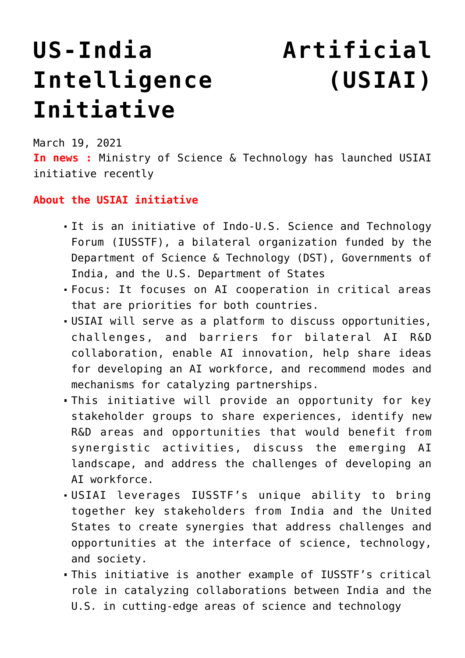# **[US-India Artificial](https://journalsofindia.com/us-india-artificial-intelligence-usiai-initiative/) [Intelligence \(USIAI\)](https://journalsofindia.com/us-india-artificial-intelligence-usiai-initiative/) [Initiative](https://journalsofindia.com/us-india-artificial-intelligence-usiai-initiative/)**

March 19, 2021

**In news :** Ministry of Science & Technology has launched USIAI initiative recently

### **About the USIAI initiative**

- It is an initiative of Indo-U.S. Science and Technology Forum (IUSSTF), a bilateral organization funded by the Department of Science & Technology (DST), Governments of India, and the U.S. Department of States
- Focus: It focuses on AI cooperation in critical areas that are priorities for both countries.
- USIAI will serve as a platform to discuss opportunities, challenges, and barriers for bilateral AI R&D collaboration, enable AI innovation, help share ideas for developing an AI workforce, and recommend modes and mechanisms for catalyzing partnerships.
- This initiative will provide an opportunity for key stakeholder groups to share experiences, identify new R&D areas and opportunities that would benefit from synergistic activities, discuss the emerging AI landscape, and address the challenges of developing an AI workforce.
- USIAI leverages IUSSTF's unique ability to bring together key stakeholders from India and the United States to create synergies that address challenges and opportunities at the interface of science, technology, and society.
- This initiative is another example of IUSSTF's critical role in catalyzing collaborations between India and the U.S. in cutting-edge areas of science and technology